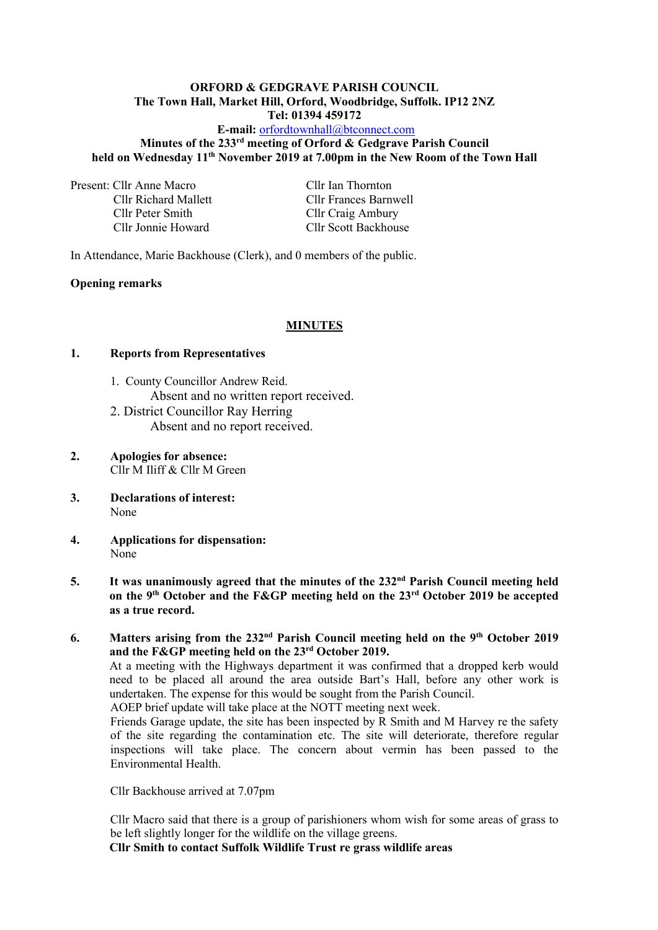#### **ORFORD & GEDGRAVE PARISH COUNCIL The Town Hall, Market Hill, Orford, Woodbridge, Suffolk. IP12 2NZ Tel: 01394 459172**

## **E-mail:** [orfordtownhall@btconnect.com](mailto:orfordtownhall@btconnect.com) **Minutes of the 233 rd meeting of Orford & Gedgrave Parish Council held on Wednesday 11th November 2019 at 7.00pm in the New Room of the Town Hall**

Present: Cllr Anne Macro Cllr Ian Thornton Cllr Peter Smith Cllr Craig Ambury

Cllr Richard Mallett Cllr Frances Barnwell Cllr Jonnie Howard Cllr Scott Backhouse

In Attendance, Marie Backhouse (Clerk), and 0 members of the public.

## **Opening remarks**

## **MINUTES**

## **1. Reports from Representatives**

- 1. County Councillor Andrew Reid. Absent and no written report received.
- 2. District Councillor Ray Herring Absent and no report received.
- **2. Apologies for absence:** Cllr M Iliff & Cllr M Green
- **3. Declarations of interest:** None
- **4. Applications for dispensation:** None
- **5. It was unanimously agreed that the minutes of the 232 nd Parish Council meeting held on the 9th October and the F&GP meeting held on the 23rd October 2019 be accepted as a true record.**
- **6. Matters arising from the 232 nd Parish Council meeting held on the 9th October 2019 and the F&GP meeting held on the 23rd October 2019.**

At a meeting with the Highways department it was confirmed that a dropped kerb would need to be placed all around the area outside Bart's Hall, before any other work is undertaken. The expense for this would be sought from the Parish Council.

AOEP brief update will take place at the NOTT meeting next week.

Friends Garage update, the site has been inspected by R Smith and M Harvey re the safety of the site regarding the contamination etc. The site will deteriorate, therefore regular inspections will take place. The concern about vermin has been passed to the Environmental Health.

Cllr Backhouse arrived at 7.07pm

Cllr Macro said that there is a group of parishioners whom wish for some areas of grass to be left slightly longer for the wildlife on the village greens.

**Cllr Smith to contact Suffolk Wildlife Trust re grass wildlife areas**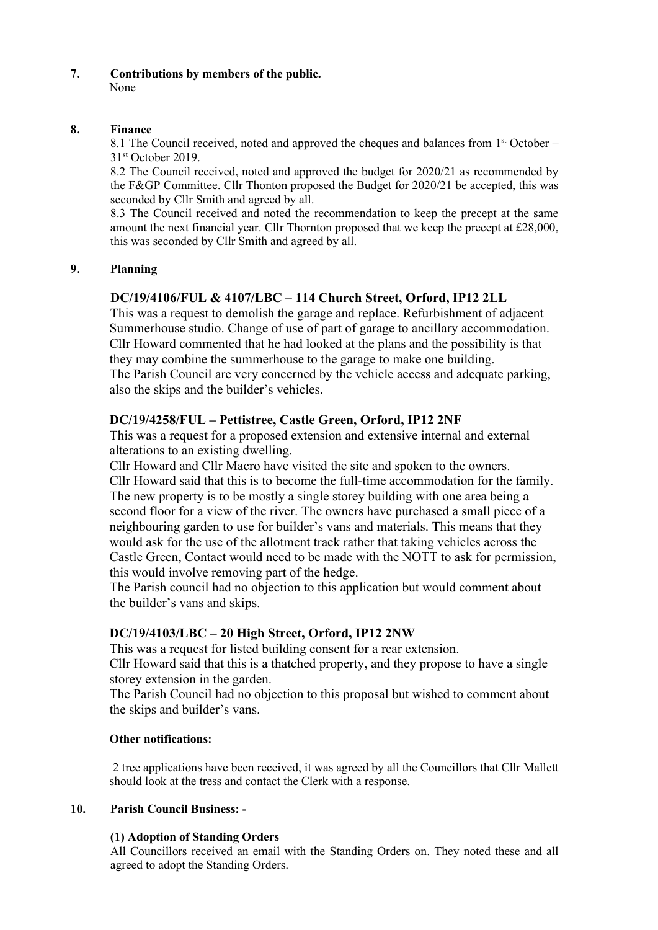#### **7. Contributions by members of the public.** None

## **8. Finance**

8.1 The Council received, noted and approved the cheques and balances from 1<sup>st</sup> October – 31 st October 2019.

8.2 The Council received, noted and approved the budget for 2020/21 as recommended by the F&GP Committee. Cllr Thonton proposed the Budget for 2020/21 be accepted, this was seconded by Cllr Smith and agreed by all.

8.3 The Council received and noted the recommendation to keep the precept at the same amount the next financial year. Cllr Thornton proposed that we keep the precept at £28,000, this was seconded by Cllr Smith and agreed by all.

# **9. Planning**

# **DC/19/4106/FUL & 4107/LBC – 114 Church Street, Orford, IP12 2LL**

This was a request to demolish the garage and replace. Refurbishment of adjacent Summerhouse studio. Change of use of part of garage to ancillary accommodation. Cllr Howard commented that he had looked at the plans and the possibility is that they may combine the summerhouse to the garage to make one building. The Parish Council are very concerned by the vehicle access and adequate parking, also the skips and the builder's vehicles.

# **DC/19/4258/FUL – Pettistree, Castle Green, Orford, IP12 2NF**

This was a request for a proposed extension and extensive internal and external alterations to an existing dwelling.

Cllr Howard and Cllr Macro have visited the site and spoken to the owners. Cllr Howard said that this is to become the full-time accommodation for the family. The new property is to be mostly a single storey building with one area being a second floor for a view of the river. The owners have purchased a small piece of a neighbouring garden to use for builder's vans and materials. This means that they would ask for the use of the allotment track rather that taking vehicles across the Castle Green, Contact would need to be made with the NOTT to ask for permission, this would involve removing part of the hedge.

The Parish council had no objection to this application but would comment about the builder's vans and skips.

# **DC/19/4103/LBC – 20 High Street, Orford, IP12 2NW**

This was a request for listed building consent for a rear extension. Cllr Howard said that this is a thatched property, and they propose to have a single

storey extension in the garden.

The Parish Council had no objection to this proposal but wished to comment about the skips and builder's vans.

# **Other notifications:**

2 tree applications have been received, it was agreed by all the Councillors that Cllr Mallett should look at the tress and contact the Clerk with a response.

# **10. Parish Council Business: -**

# **(1) Adoption of Standing Orders**

All Councillors received an email with the Standing Orders on. They noted these and all agreed to adopt the Standing Orders.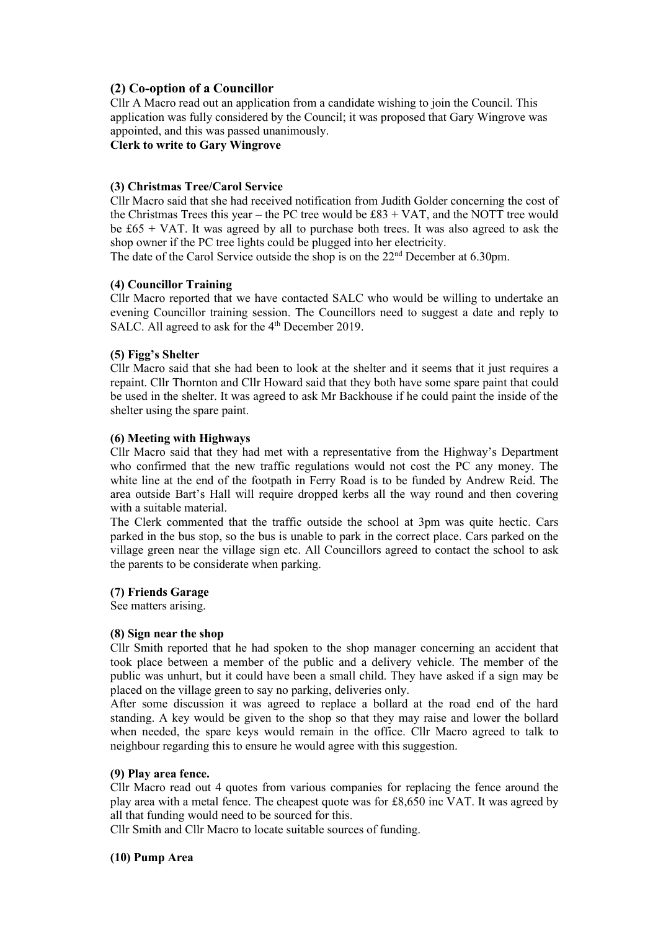## **(2) Co-option of a Councillor**

Cllr A Macro read out an application from a candidate wishing to join the Council. This application was fully considered by the Council; it was proposed that Gary Wingrove was appointed, and this was passed unanimously.

#### **Clerk to write to Gary Wingrove**

#### **(3) Christmas Tree/Carol Service**

Cllr Macro said that she had received notification from Judith Golder concerning the cost of the Christmas Trees this year – the PC tree would be  $£83 + VAT$ , and the NOTT tree would be £65 + VAT. It was agreed by all to purchase both trees. It was also agreed to ask the shop owner if the PC tree lights could be plugged into her electricity.

The date of the Carol Service outside the shop is on the 22<sup>nd</sup> December at 6.30pm.

#### **(4) Councillor Training**

Cllr Macro reported that we have contacted SALC who would be willing to undertake an evening Councillor training session. The Councillors need to suggest a date and reply to SALC. All agreed to ask for the 4<sup>th</sup> December 2019.

#### **(5) Figg's Shelter**

Cllr Macro said that she had been to look at the shelter and it seems that it just requires a repaint. Cllr Thornton and Cllr Howard said that they both have some spare paint that could be used in the shelter. It was agreed to ask Mr Backhouse if he could paint the inside of the shelter using the spare paint.

#### **(6) Meeting with Highways**

Cllr Macro said that they had met with a representative from the Highway's Department who confirmed that the new traffic regulations would not cost the PC any money. The white line at the end of the footpath in Ferry Road is to be funded by Andrew Reid. The area outside Bart's Hall will require dropped kerbs all the way round and then covering with a suitable material.

The Clerk commented that the traffic outside the school at 3pm was quite hectic. Cars parked in the bus stop, so the bus is unable to park in the correct place. Cars parked on the village green near the village sign etc. All Councillors agreed to contact the school to ask the parents to be considerate when parking.

#### **(7) Friends Garage**

See matters arising.

#### **(8) Sign near the shop**

Cllr Smith reported that he had spoken to the shop manager concerning an accident that took place between a member of the public and a delivery vehicle. The member of the public was unhurt, but it could have been a small child. They have asked if a sign may be placed on the village green to say no parking, deliveries only.

After some discussion it was agreed to replace a bollard at the road end of the hard standing. A key would be given to the shop so that they may raise and lower the bollard when needed, the spare keys would remain in the office. Cllr Macro agreed to talk to neighbour regarding this to ensure he would agree with this suggestion.

#### **(9) Play area fence.**

Cllr Macro read out 4 quotes from various companies for replacing the fence around the play area with a metal fence. The cheapest quote was for £8,650 inc VAT. It was agreed by all that funding would need to be sourced for this.

Cllr Smith and Cllr Macro to locate suitable sources of funding.

#### **(10) Pump Area**